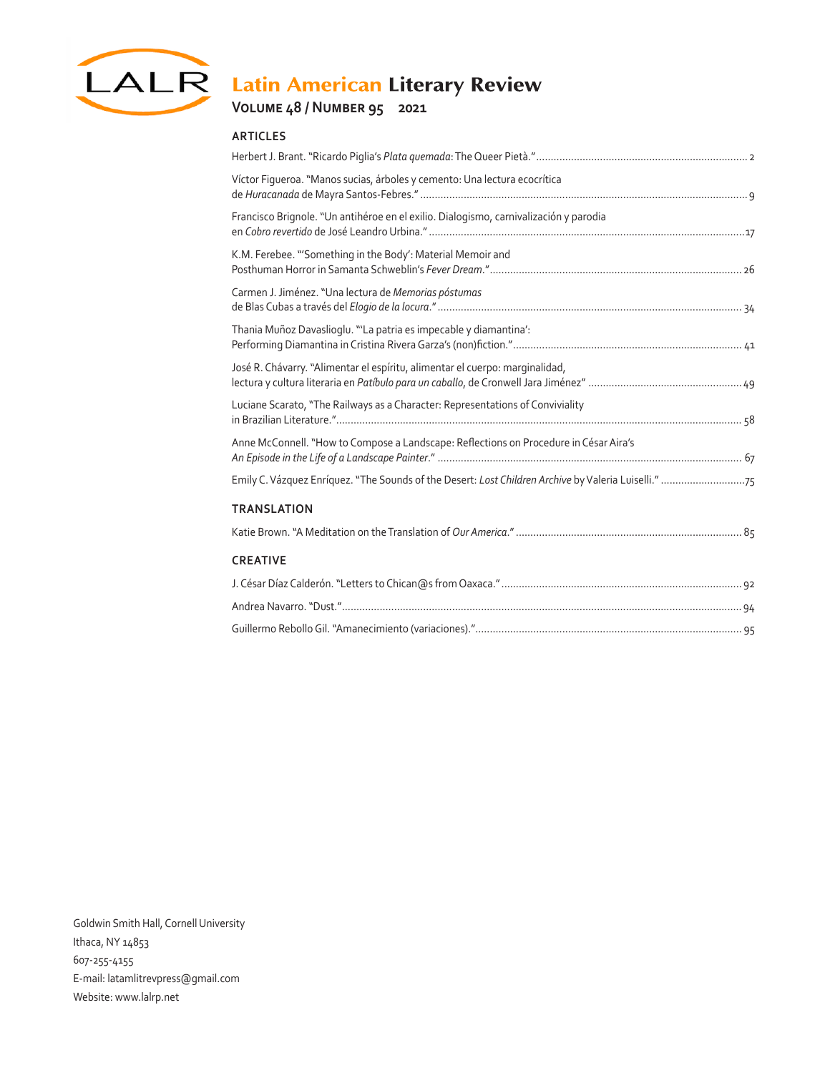

# LALR Latin American Literary Review

## **Volume 48 / Number 95 2021**

#### **ARTICLES**

| Víctor Figueroa. "Manos sucias, árboles y cemento: Una lectura ecocrítica             |  |
|---------------------------------------------------------------------------------------|--|
| Francisco Brignole. "Un antihéroe en el exilio. Dialogismo, carnivalización y parodia |  |
| K.M. Ferebee. "'Something in the Body': Material Memoir and                           |  |
| Carmen J. Jiménez. "Una lectura de Memorias póstumas                                  |  |
| Thania Muñoz Davaslioglu. "La patria es impecable y diamantina':                      |  |
| José R. Chávarry. "Alimentar el espíritu, alimentar el cuerpo: marginalidad,          |  |
| Luciane Scarato, "The Railways as a Character: Representations of Conviviality        |  |
| Anne McConnell. "How to Compose a Landscape: Reflections on Procedure in César Aira's |  |
|                                                                                       |  |
| <b>TRANSLATION</b>                                                                    |  |
|                                                                                       |  |
| <b>CREATIVE</b>                                                                       |  |
|                                                                                       |  |
|                                                                                       |  |
|                                                                                       |  |

Goldwin Smith Hall, Cornell University Ithaca, NY 14853 607-255-4155 E-mail: latamlitrevpress@gmail.com Website: www.lalrp.net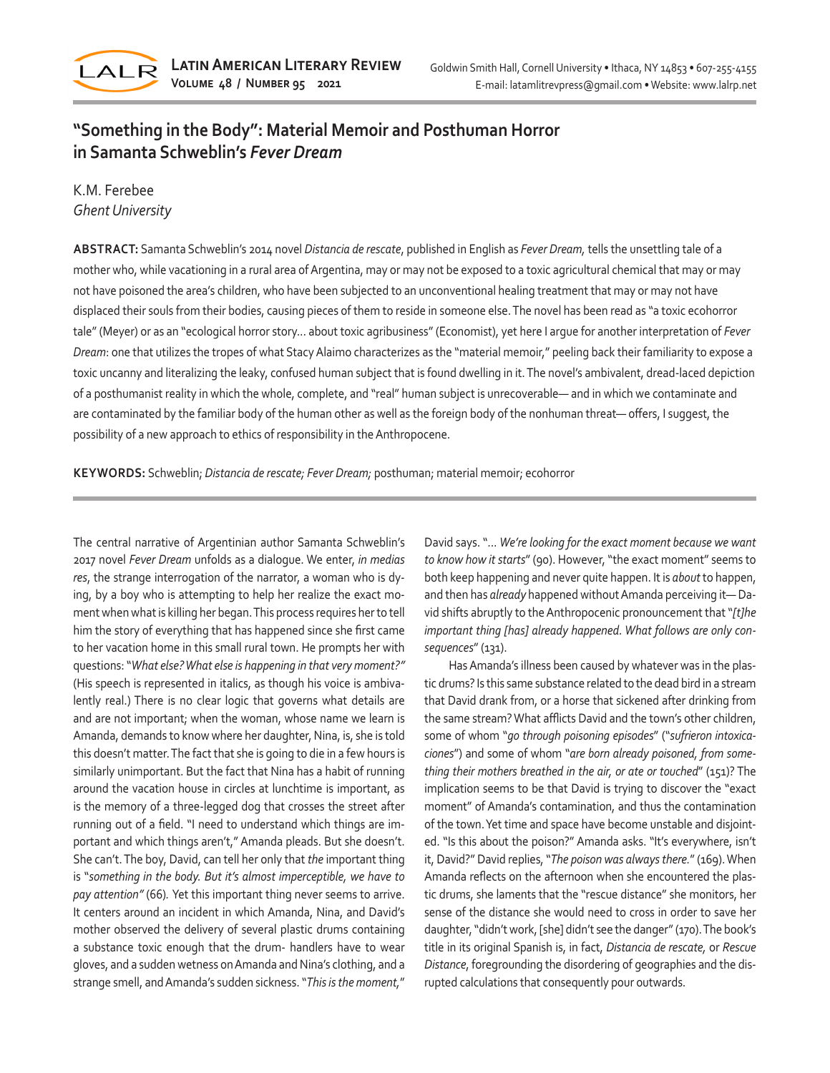

## **"Something in the Body": Material Memoir and Posthuman Horror in Samanta Schweblin's** *Fever Dream*

### K.M. Ferebee *Ghent University*

**ABSTRACT:** Samanta Schweblin's 2014 novel *Distancia de rescate*, published in English as *Fever Dream,* tells the unsettling tale of a mother who, while vacationing in a rural area of Argentina, may or may not be exposed to a toxic agricultural chemical that may or may not have poisoned the area's children, who have been subjected to an unconventional healing treatment that may or may not have displaced their souls from their bodies, causing pieces of them to reside in someone else. The novel has been read as "a toxic ecohorror tale" (Meyer) or as an "ecological horror story... about toxic agribusiness" (Economist), yet here I argue for another interpretation of *Fever Dream*: one that utilizes the tropes of what Stacy Alaimo characterizes as the "material memoir," peeling back their familiarity to expose a toxic uncanny and literalizing the leaky, confused human subject that is found dwelling in it. The novel's ambivalent, dread-laced depiction of a posthumanist reality in which the whole, complete, and "real" human subject is unrecoverable— and in which we contaminate and are contaminated by the familiar body of the human other as well as the foreign body of the nonhuman threat— offers, I suggest, the possibility of a new approach to ethics of responsibility in the Anthropocene.

**KEYWORDS:** Schweblin; *Distancia de rescate; Fever Dream;* posthuman; material memoir; ecohorror

The central narrative of Argentinian author Samanta Schweblin's 2017 novel *Fever Dream* unfolds as a dialogue. We enter, *in medias res*, the strange interrogation of the narrator, a woman who is dying, by a boy who is attempting to help her realize the exact moment when what is killing her began. This process requires her to tell him the story of everything that has happened since she first came to her vacation home in this small rural town. He prompts her with questions: "*What else? What else is happening in that very moment?"*  (His speech is represented in italics, as though his voice is ambivalently real.) There is no clear logic that governs what details are and are not important; when the woman, whose name we learn is Amanda, demands to know where her daughter, Nina, is, she is told this doesn't matter. The fact that she is going to die in a few hours is similarly unimportant. But the fact that Nina has a habit of running around the vacation house in circles at lunchtime is important, as is the memory of a three-legged dog that crosses the street after running out of a field. "I need to understand which things are important and which things aren't," Amanda pleads. But she doesn't. She can't. The boy, David, can tell her only that *the* important thing is "*something in the body. But it's almost imperceptible, we have to pay attention"* (66)*.* Yet this important thing never seems to arrive. It centers around an incident in which Amanda, Nina, and David's mother observed the delivery of several plastic drums containing a substance toxic enough that the drum- handlers have to wear gloves, and a sudden wetness on Amanda and Nina's clothing, and a strange smell, and Amanda's sudden sickness. "*This is the moment,*"

David says. "... *We're looking for the exact moment because we want to know how it starts*" (90). However, "the exact moment" seems to both keep happening and never quite happen. It is *about* to happen, and then has *already* happened without Amanda perceiving it— David shifts abruptly to the Anthropocenic pronouncement that "*[t]he important thing [has] already happened. What follows are only consequences*" (131).

Has Amanda's illness been caused by whatever was in the plastic drums? Is this same substance related to the dead bird in a stream that David drank from, or a horse that sickened after drinking from the same stream? What afflicts David and the town's other children, some of whom "*go through poisoning episodes*" ("*sufrieron intoxicaciones*") and some of whom "*are born already poisoned, from something their mothers breathed in the air, or ate or touched*" (151)? The implication seems to be that David is trying to discover the "exact moment" of Amanda's contamination, and thus the contamination of the town. Yet time and space have become unstable and disjointed. "Is this about the poison?" Amanda asks. "It's everywhere, isn't it, David?" David replies, "*The poison was always there.*" (169). When Amanda reflects on the afternoon when she encountered the plastic drums, she laments that the "rescue distance" she monitors, her sense of the distance she would need to cross in order to save her daughter, "didn't work, [she] didn't see the danger" (170). The book's title in its original Spanish is, in fact, *Distancia de rescate,* or *Rescue Distance*, foregrounding the disordering of geographies and the disrupted calculations that consequently pour outwards.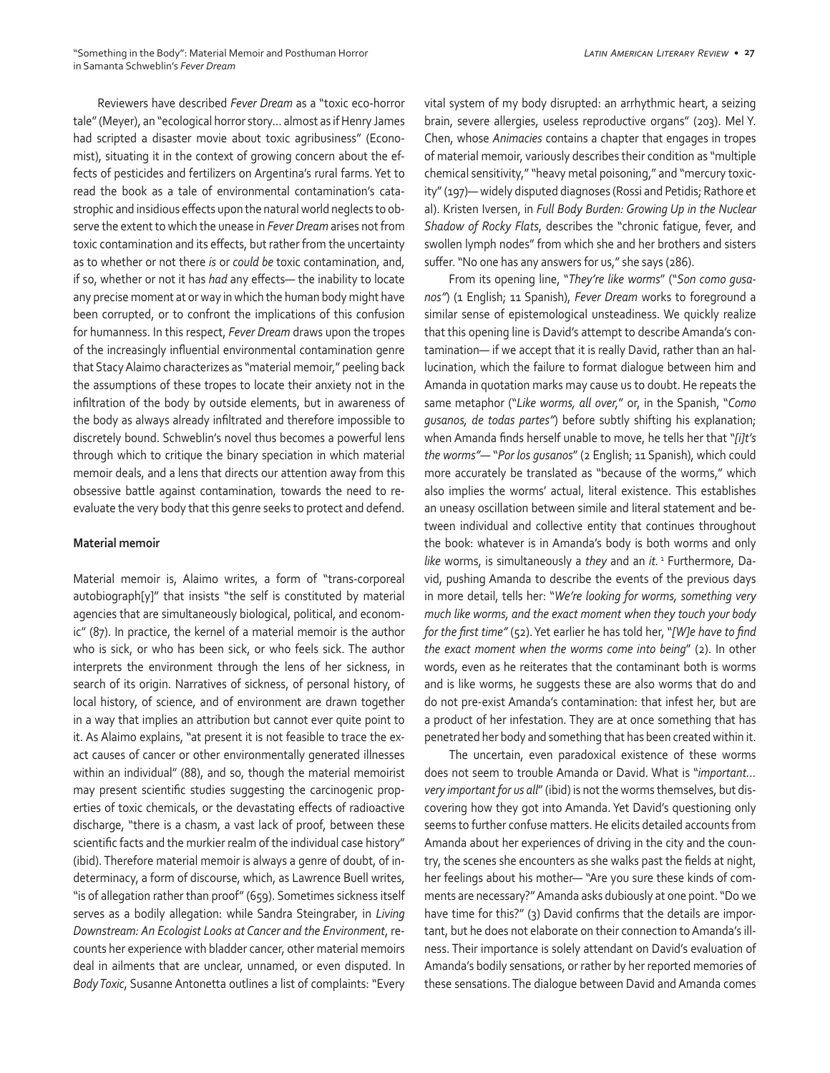Reviewers have described *Fever Dream* as a "toxic eco-horror tale" (Meyer), an "ecological horror story... almost as if Henry James had scripted a disaster movie about toxic agribusiness" (Economist), situating it in the context of growing concern about the effects of pesticides and fertilizers on Argentina's rural farms. Yet to read the book as a tale of environmental contamination's catastrophic and insidious effects upon the natural world neglects to observe the extent to which the unease in *Fever Dream* arises not from toxic contamination and its effects, but rather from the uncertainty as to whether or not there *is* or *could be* toxic contamination, and, if so, whether or not it has *had* any effects— the inability to locate any precise moment at or way in which the human body might have been corrupted, or to confront the implications of this confusion for humanness. In this respect, *Fever Dream* draws upon the tropes of the increasingly influential environmental contamination genre that Stacy Alaimo characterizes as "material memoir," peeling back the assumptions of these tropes to locate their anxiety not in the infiltration of the body by outside elements, but in awareness of the body as always already infiltrated and therefore impossible to discretely bound. Schweblin's novel thus becomes a powerful lens through which to critique the binary speciation in which material memoir deals, and a lens that directs our attention away from this obsessive battle against contamination, towards the need to reevaluate the very body that this genre seeks to protect and defend.

#### **Material memoir**

Material memoir is, Alaimo writes, a form of "trans-corporeal autobiograph[y]" that insists "the self is constituted by material agencies that are simultaneously biological, political, and economic" (87). In practice, the kernel of a material memoir is the author who is sick, or who has been sick, or who feels sick. The author interprets the environment through the lens of her sickness, in search of its origin. Narratives of sickness, of personal history, of local history, of science, and of environment are drawn together in a way that implies an attribution but cannot ever quite point to it. As Alaimo explains, "at present it is not feasible to trace the exact causes of cancer or other environmentally generated illnesses within an individual" (88), and so, though the material memoirist may present scientific studies suggesting the carcinogenic properties of toxic chemicals, or the devastating effects of radioactive discharge, "there is a chasm, a vast lack of proof, between these scientific facts and the murkier realm of the individual case history" (ibid). Therefore material memoir is always a genre of doubt, of indeterminacy, a form of discourse, which, as Lawrence Buell writes, "is of allegation rather than proof" (659). Sometimes sickness itself serves as a bodily allegation: while Sandra Steingraber, in *Living Downstream: An Ecologist Looks at Cancer and the Environment*, recounts her experience with bladder cancer, other material memoirs deal in ailments that are unclear, unnamed, or even disputed. In *Body Toxic*, Susanne Antonetta outlines a list of complaints: "Every vital system of my body disrupted: an arrhythmic heart, a seizing brain, severe allergies, useless reproductive organs" (203). Mel Y. Chen, whose *Animacies* contains a chapter that engages in tropes of material memoir, variously describes their condition as "multiple chemical sensitivity," "heavy metal poisoning," and "mercury toxicity" (197)— widely disputed diagnoses (Rossi and Petidis; Rathore et al). Kristen Iversen, in *Full Body Burden: Growing Up in the Nuclear Shadow of Rocky Flats*, describes the "chronic fatigue, fever, and swollen lymph nodes" from which she and her brothers and sisters suffer. "No one has any answers for us," she says (286).

From its opening line, "*They're like worms*" ("*Son como gusanos"*) (1 English; 11 Spanish), *Fever Dream* works to foreground a similar sense of epistemological unsteadiness. We quickly realize that this opening line is David's attempt to describe Amanda's contamination— if we accept that it is really David, rather than an hallucination, which the failure to format dialogue between him and Amanda in quotation marks may cause us to doubt. He repeats the same metaphor ("*Like worms, all over,*" or, in the Spanish, "*Como gusanos, de todas partes"*) before subtly shifting his explanation; when Amanda finds herself unable to move, he tells her that "*[i]t's the worms"—* "*Por los gusanos*" (2 English; 11 Spanish), which could more accurately be translated as "because of the worms," which also implies the worms' actual, literal existence. This establishes an uneasy oscillation between simile and literal statement and between individual and collective entity that continues throughout the book: whatever is in Amanda's body is both worms and only *like* worms, is simultaneously a *they* and an *it.* 1 Furthermore, David, pushing Amanda to describe the events of the previous days in more detail, tells her: "*We're looking for worms, something very much like worms, and the exact moment when they touch your body for the first time"* (52). Yet earlier he has told her, "*[W]e have to find the exact moment when the worms come into being*" (2). In other words, even as he reiterates that the contaminant both is worms and is like worms, he suggests these are also worms that do and do not pre-exist Amanda's contamination: that infest her, but are a product of her infestation. They are at once something that has penetrated her body and something that has been created within it.

The uncertain, even paradoxical existence of these worms does not seem to trouble Amanda or David. What is "*important… very important for us all*" (ibid) is not the worms themselves, but discovering how they got into Amanda. Yet David's questioning only seems to further confuse matters. He elicits detailed accounts from Amanda about her experiences of driving in the city and the country, the scenes she encounters as she walks past the fields at night, her feelings about his mother— "Are you sure these kinds of comments are necessary?" Amanda asks dubiously at one point. "Do we have time for this?" (3) David confirms that the details are important, but he does not elaborate on their connection to Amanda's illness. Their importance is solely attendant on David's evaluation of Amanda's bodily sensations, or rather by her reported memories of these sensations. The dialogue between David and Amanda comes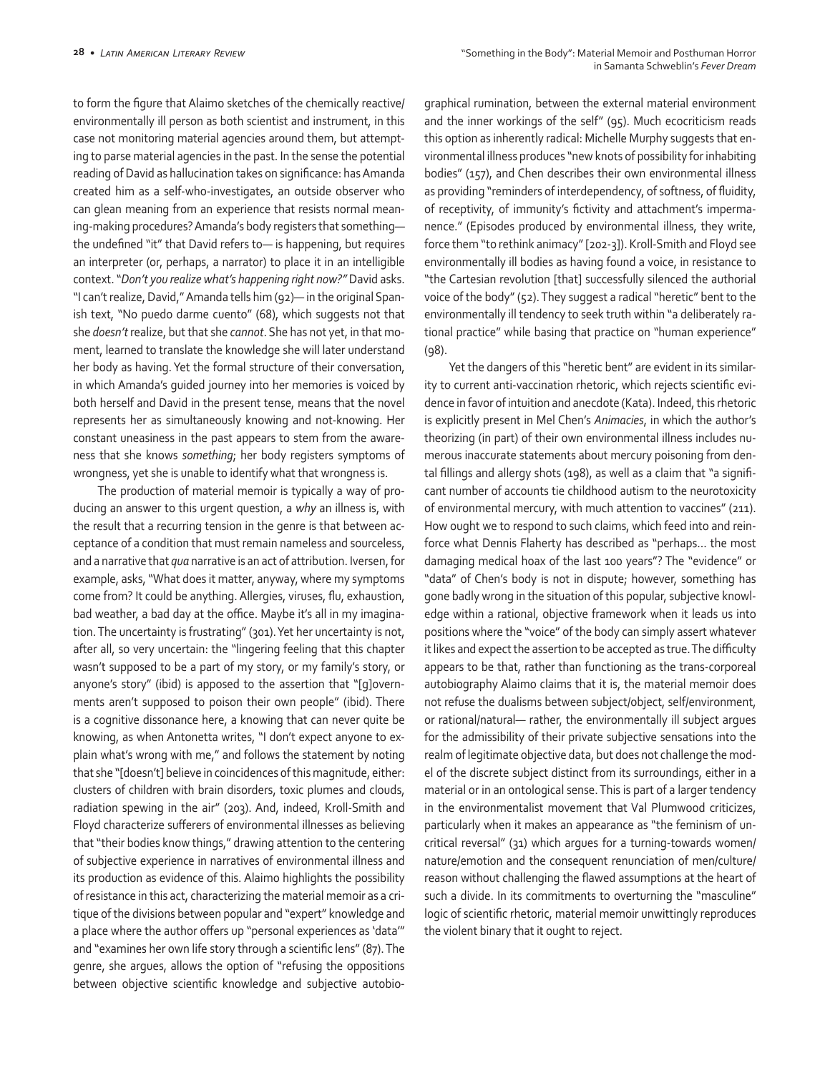to form the figure that Alaimo sketches of the chemically reactive/ environmentally ill person as both scientist and instrument, in this case not monitoring material agencies around them, but attempting to parse material agencies in the past. In the sense the potential reading of David as hallucination takes on significance: has Amanda created him as a self-who-investigates, an outside observer who can glean meaning from an experience that resists normal meaning-making procedures? Amanda's body registers that something the undefined "it" that David refers to— is happening, but requires an interpreter (or, perhaps, a narrator) to place it in an intelligible context. "*Don't you realize what's happening right now?"* David asks. "I can't realize, David," Amanda tells him (92)— in the original Spanish text, "No puedo darme cuento" (68), which suggests not that she *doesn't* realize, but that she *cannot*. She has not yet, in that moment, learned to translate the knowledge she will later understand her body as having. Yet the formal structure of their conversation, in which Amanda's guided journey into her memories is voiced by both herself and David in the present tense, means that the novel represents her as simultaneously knowing and not-knowing. Her constant uneasiness in the past appears to stem from the awareness that she knows *something*; her body registers symptoms of wrongness, yet she is unable to identify what that wrongness is.

The production of material memoir is typically a way of producing an answer to this urgent question, a *why* an illness is, with the result that a recurring tension in the genre is that between acceptance of a condition that must remain nameless and sourceless, and a narrative that *qua* narrative is an act of attribution. Iversen, for example, asks, "What does it matter, anyway, where my symptoms come from? It could be anything. Allergies, viruses, flu, exhaustion, bad weather, a bad day at the office. Maybe it's all in my imagination. The uncertainty is frustrating" (301). Yet her uncertainty is not, after all, so very uncertain: the "lingering feeling that this chapter wasn't supposed to be a part of my story, or my family's story, or anyone's story" (ibid) is apposed to the assertion that "[g]overnments aren't supposed to poison their own people" (ibid). There is a cognitive dissonance here, a knowing that can never quite be knowing, as when Antonetta writes, "I don't expect anyone to explain what's wrong with me," and follows the statement by noting that she "[doesn't] believe in coincidences of this magnitude, either: clusters of children with brain disorders, toxic plumes and clouds, radiation spewing in the air" (203). And, indeed, Kroll-Smith and Floyd characterize sufferers of environmental illnesses as believing that "their bodies know things," drawing attention to the centering of subjective experience in narratives of environmental illness and its production as evidence of this. Alaimo highlights the possibility of resistance in this act, characterizing the material memoir as a critique of the divisions between popular and "expert" knowledge and a place where the author offers up "personal experiences as 'data'" and "examines her own life story through a scientific lens" (87). The genre, she argues, allows the option of "refusing the oppositions between objective scientific knowledge and subjective autobiographical rumination, between the external material environment and the inner workings of the self" (95). Much ecocriticism reads this option as inherently radical: Michelle Murphy suggests that environmental illness produces "new knots of possibility for inhabiting bodies" (157), and Chen describes their own environmental illness as providing "reminders of interdependency, of softness, of fluidity, of receptivity, of immunity's fictivity and attachment's impermanence." (Episodes produced by environmental illness, they write, force them "to rethink animacy" [202-3]). Kroll-Smith and Floyd see environmentally ill bodies as having found a voice, in resistance to "the Cartesian revolution [that] successfully silenced the authorial voice of the body" (52). They suggest a radical "heretic" bent to the environmentally ill tendency to seek truth within "a deliberately rational practice" while basing that practice on "human experience" (98).

Yet the dangers of this "heretic bent" are evident in its similarity to current anti-vaccination rhetoric, which rejects scientific evidence in favor of intuition and anecdote (Kata). Indeed, this rhetoric is explicitly present in Mel Chen's *Animacies*, in which the author's theorizing (in part) of their own environmental illness includes numerous inaccurate statements about mercury poisoning from dental fillings and allergy shots (198), as well as a claim that "a significant number of accounts tie childhood autism to the neurotoxicity of environmental mercury, with much attention to vaccines" (211). How ought we to respond to such claims, which feed into and reinforce what Dennis Flaherty has described as "perhaps… the most damaging medical hoax of the last 100 years"? The "evidence" or "data" of Chen's body is not in dispute; however, something has gone badly wrong in the situation of this popular, subjective knowledge within a rational, objective framework when it leads us into positions where the "voice" of the body can simply assert whatever it likes and expect the assertion to be accepted as true. The difficulty appears to be that, rather than functioning as the trans-corporeal autobiography Alaimo claims that it is, the material memoir does not refuse the dualisms between subject/object, self/environment, or rational/natural— rather, the environmentally ill subject argues for the admissibility of their private subjective sensations into the realm of legitimate objective data, but does not challenge the model of the discrete subject distinct from its surroundings, either in a material or in an ontological sense. This is part of a larger tendency in the environmentalist movement that Val Plumwood criticizes, particularly when it makes an appearance as "the feminism of uncritical reversal" (31) which argues for a turning-towards women/ nature/emotion and the consequent renunciation of men/culture/ reason without challenging the flawed assumptions at the heart of such a divide. In its commitments to overturning the "masculine" logic of scientific rhetoric, material memoir unwittingly reproduces the violent binary that it ought to reject.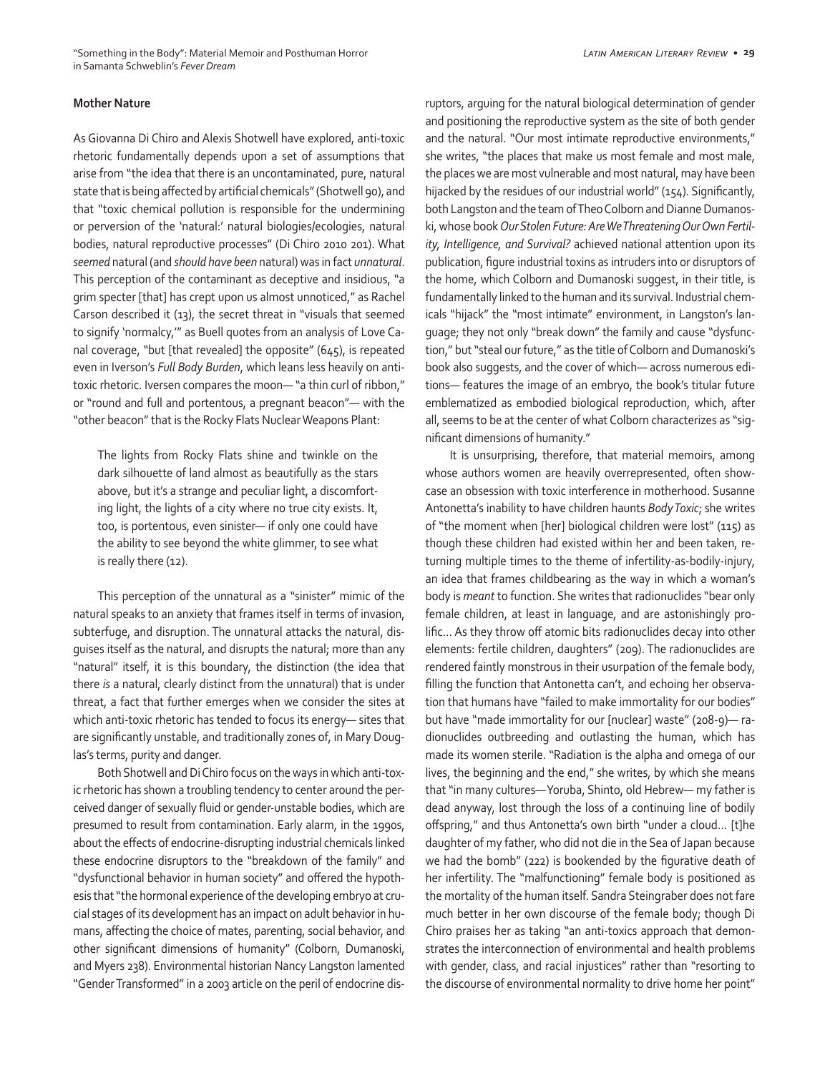#### **Mother Nature**

As Giovanna Di Chiro and Alexis Shotwell have explored, anti-toxic rhetoric fundamentally depends upon a set of assumptions that arise from "the idea that there is an uncontaminated, pure, natural state that is being affected by artificial chemicals" (Shotwell 90), and that "toxic chemical pollution is responsible for the undermining or perversion of the 'natural:' natural biologies/ecologies, natural bodies, natural reproductive processes" (Di Chiro 2010 201). What *seemed* natural (and *should have been* natural) was in fact *unnatural*. This perception of the contaminant as deceptive and insidious, "a grim specter [that] has crept upon us almost unnoticed," as Rachel Carson described it (13), the secret threat in "visuals that seemed to signify 'normalcy,'" as Buell quotes from an analysis of Love Canal coverage, "but [that revealed] the opposite" (645), is repeated even in Iverson's *Full Body Burden*, which leans less heavily on antitoxic rhetoric. Iversen compares the moon— "a thin curl of ribbon," or "round and full and portentous, a pregnant beacon"— with the "other beacon" that is the Rocky Flats Nuclear Weapons Plant:

The lights from Rocky Flats shine and twinkle on the dark silhouette of land almost as beautifully as the stars above, but it's a strange and peculiar light, a discomforting light, the lights of a city where no true city exists. It, too, is portentous, even sinister— if only one could have the ability to see beyond the white glimmer, to see what is really there (12).

This perception of the unnatural as a "sinister" mimic of the natural speaks to an anxiety that frames itself in terms of invasion, subterfuge, and disruption. The unnatural attacks the natural, disguises itself as the natural, and disrupts the natural; more than any "natural" itself, it is this boundary, the distinction (the idea that there *is* a natural, clearly distinct from the unnatural) that is under threat, a fact that further emerges when we consider the sites at which anti-toxic rhetoric has tended to focus its energy— sites that are significantly unstable, and traditionally zones of, in Mary Douglas's terms, purity and danger.

Both Shotwell and Di Chiro focus on the ways in which anti-toxic rhetoric has shown a troubling tendency to center around the perceived danger of sexually fluid or gender-unstable bodies, which are presumed to result from contamination. Early alarm, in the 1990s, about the effects of endocrine-disrupting industrial chemicals linked these endocrine disruptors to the "breakdown of the family" and "dysfunctional behavior in human society" and offered the hypothesis that "the hormonal experience of the developing embryo at crucial stages of its development has an impact on adult behavior in humans, affecting the choice of mates, parenting, social behavior, and other significant dimensions of humanity" (Colborn, Dumanoski, and Myers 238). Environmental historian Nancy Langston lamented "Gender Transformed" in a 2003 article on the peril of endocrine disruptors, arguing for the natural biological determination of gender and positioning the reproductive system as the site of both gender and the natural. "Our most intimate reproductive environments," she writes, "the places that make us most female and most male, the places we are most vulnerable and most natural, may have been hijacked by the residues of our industrial world" (154). Significantly, both Langston and the team of Theo Colborn and Dianne Dumanoski, whose book *Our Stolen Future: Are We Threatening Our Own Fertility, Intelligence, and Survival?* achieved national attention upon its publication, figure industrial toxins as intruders into or disruptors of the home, which Colborn and Dumanoski suggest, in their title, is fundamentally linked to the human and its survival. Industrial chemicals "hijack" the "most intimate" environment, in Langston's language; they not only "break down" the family and cause "dysfunction," but "steal our future," as the title of Colborn and Dumanoski's book also suggests, and the cover of which— across numerous editions— features the image of an embryo, the book's titular future emblematized as embodied biological reproduction, which, after all, seems to be at the center of what Colborn characterizes as "significant dimensions of humanity."

It is unsurprising, therefore, that material memoirs, among whose authors women are heavily overrepresented, often showcase an obsession with toxic interference in motherhood. Susanne Antonetta's inability to have children haunts *Body Toxic*; she writes of "the moment when [her] biological children were lost" (115) as though these children had existed within her and been taken, returning multiple times to the theme of infertility-as-bodily-injury, an idea that frames childbearing as the way in which a woman's body is *meant* to function. She writes that radionuclides "bear only female children, at least in language, and are astonishingly prolific… As they throw off atomic bits radionuclides decay into other elements: fertile children, daughters" (209). The radionuclides are rendered faintly monstrous in their usurpation of the female body, filling the function that Antonetta can't, and echoing her observation that humans have "failed to make immortality for our bodies" but have "made immortality for our [nuclear] waste" (208-9)— radionuclides outbreeding and outlasting the human, which has made its women sterile. "Radiation is the alpha and omega of our lives, the beginning and the end," she writes, by which she means that "in many cultures— Yoruba, Shinto, old Hebrew— my father is dead anyway, lost through the loss of a continuing line of bodily offspring," and thus Antonetta's own birth "under a cloud… [t]he daughter of my father, who did not die in the Sea of Japan because we had the bomb" (222) is bookended by the figurative death of her infertility. The "malfunctioning" female body is positioned as the mortality of the human itself. Sandra Steingraber does not fare much better in her own discourse of the female body; though Di Chiro praises her as taking "an anti-toxics approach that demonstrates the interconnection of environmental and health problems with gender, class, and racial injustices" rather than "resorting to the discourse of environmental normality to drive home her point"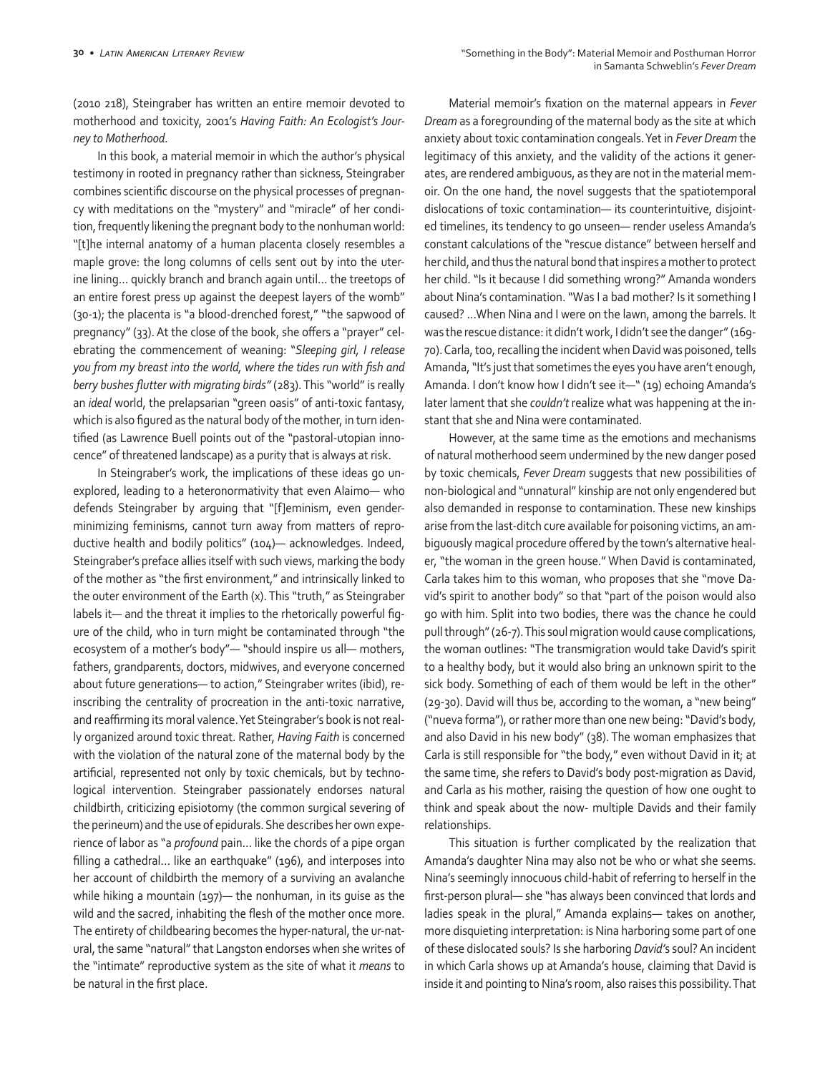(2010 218), Steingraber has written an entire memoir devoted to motherhood and toxicity, 2001's *Having Faith: An Ecologist's Journey to Motherhood.*

In this book, a material memoir in which the author's physical testimony in rooted in pregnancy rather than sickness, Steingraber combines scientific discourse on the physical processes of pregnancy with meditations on the "mystery" and "miracle" of her condition, frequently likening the pregnant body to the nonhuman world: "[t]he internal anatomy of a human placenta closely resembles a maple grove: the long columns of cells sent out by into the uterine lining… quickly branch and branch again until… the treetops of an entire forest press up against the deepest layers of the womb" (30-1); the placenta is "a blood-drenched forest," "the sapwood of pregnancy" (33). At the close of the book, she offers a "prayer" celebrating the commencement of weaning: "*Sleeping girl, I release you from my breast into the world, where the tides run with fish and berry bushes flutter with migrating birds"* (283). This "world" is really an *ideal* world, the prelapsarian "green oasis" of anti-toxic fantasy, which is also figured as the natural body of the mother, in turn identified (as Lawrence Buell points out of the "pastoral-utopian innocence" of threatened landscape) as a purity that is always at risk.

In Steingraber's work, the implications of these ideas go unexplored, leading to a heteronormativity that even Alaimo— who defends Steingraber by arguing that "[f]eminism, even genderminimizing feminisms, cannot turn away from matters of reproductive health and bodily politics" (104)— acknowledges. Indeed, Steingraber's preface allies itself with such views, marking the body of the mother as "the first environment," and intrinsically linked to the outer environment of the Earth (x). This "truth," as Steingraber labels it— and the threat it implies to the rhetorically powerful figure of the child, who in turn might be contaminated through "the ecosystem of a mother's body"— "should inspire us all— mothers, fathers, grandparents, doctors, midwives, and everyone concerned about future generations— to action," Steingraber writes (ibid), reinscribing the centrality of procreation in the anti-toxic narrative, and reaffirming its moral valence. Yet Steingraber's book is not really organized around toxic threat. Rather, *Having Faith* is concerned with the violation of the natural zone of the maternal body by the artificial, represented not only by toxic chemicals, but by technological intervention. Steingraber passionately endorses natural childbirth, criticizing episiotomy (the common surgical severing of the perineum) and the use of epidurals. She describes her own experience of labor as "a *profound* pain… like the chords of a pipe organ filling a cathedral… like an earthquake" (196), and interposes into her account of childbirth the memory of a surviving an avalanche while hiking a mountain (197)— the nonhuman, in its guise as the wild and the sacred, inhabiting the flesh of the mother once more. The entirety of childbearing becomes the hyper-natural, the ur-natural, the same "natural" that Langston endorses when she writes of the "intimate" reproductive system as the site of what it *means* to be natural in the first place.

Material memoir's fixation on the maternal appears in *Fever Dream* as a foregrounding of the maternal body as the site at which anxiety about toxic contamination congeals. Yet in *Fever Dream* the legitimacy of this anxiety, and the validity of the actions it generates, are rendered ambiguous, as they are not in the material memoir. On the one hand, the novel suggests that the spatiotemporal dislocations of toxic contamination— its counterintuitive, disjointed timelines, its tendency to go unseen— render useless Amanda's constant calculations of the "rescue distance" between herself and her child, and thus the natural bond that inspires a mother to protect her child. "Is it because I did something wrong?" Amanda wonders about Nina's contamination. "Was I a bad mother? Is it something I caused? …When Nina and I were on the lawn, among the barrels. It was the rescue distance: it didn't work, I didn't see the danger" (169- 70). Carla, too, recalling the incident when David was poisoned, tells Amanda, "It's just that sometimes the eyes you have aren't enough, Amanda. I don't know how I didn't see it—" (19) echoing Amanda's later lament that she *couldn't* realize what was happening at the instant that she and Nina were contaminated.

However, at the same time as the emotions and mechanisms of natural motherhood seem undermined by the new danger posed by toxic chemicals, *Fever Dream* suggests that new possibilities of non-biological and "unnatural" kinship are not only engendered but also demanded in response to contamination. These new kinships arise from the last-ditch cure available for poisoning victims, an ambiguously magical procedure offered by the town's alternative healer, "the woman in the green house." When David is contaminated, Carla takes him to this woman, who proposes that she "move David's spirit to another body" so that "part of the poison would also go with him. Split into two bodies, there was the chance he could pull through" (26-7). This soul migration would cause complications, the woman outlines: "The transmigration would take David's spirit to a healthy body, but it would also bring an unknown spirit to the sick body. Something of each of them would be left in the other" (29-30). David will thus be, according to the woman, a "new being" ("nueva forma"), or rather more than one new being: "David's body, and also David in his new body" (38). The woman emphasizes that Carla is still responsible for "the body," even without David in it; at the same time, she refers to David's body post-migration as David, and Carla as his mother, raising the question of how one ought to think and speak about the now- multiple Davids and their family relationships.

This situation is further complicated by the realization that Amanda's daughter Nina may also not be who or what she seems. Nina's seemingly innocuous child-habit of referring to herself in the first-person plural— she "has always been convinced that lords and ladies speak in the plural," Amanda explains— takes on another, more disquieting interpretation: is Nina harboring some part of one of these dislocated souls? Is she harboring *David'*s soul? An incident in which Carla shows up at Amanda's house, claiming that David is inside it and pointing to Nina's room, also raises this possibility. That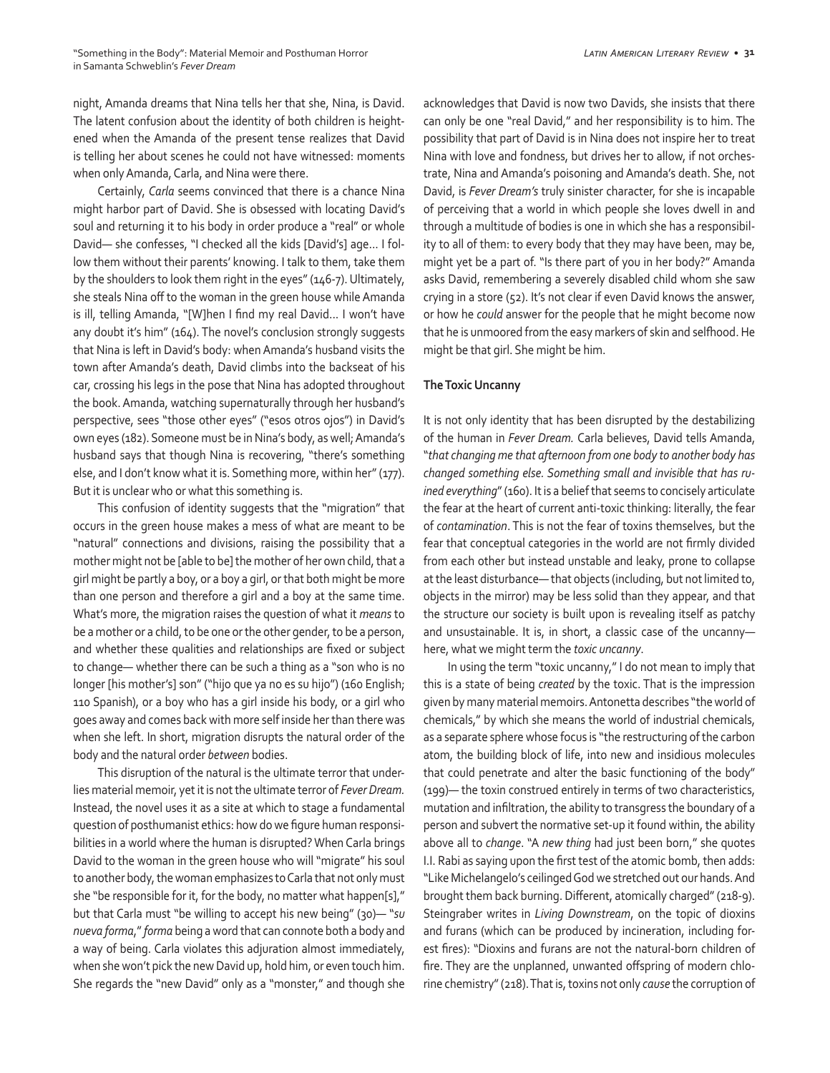night, Amanda dreams that Nina tells her that she, Nina, is David. The latent confusion about the identity of both children is heightened when the Amanda of the present tense realizes that David is telling her about scenes he could not have witnessed: moments when only Amanda, Carla, and Nina were there.

Certainly, *Carla* seems convinced that there is a chance Nina might harbor part of David. She is obsessed with locating David's soul and returning it to his body in order produce a "real" or whole David— she confesses, "I checked all the kids [David's] age... I follow them without their parents' knowing. I talk to them, take them by the shoulders to look them right in the eyes" (146-7). Ultimately, she steals Nina off to the woman in the green house while Amanda is ill, telling Amanda, "[W]hen I find my real David... I won't have any doubt it's him" (164). The novel's conclusion strongly suggests that Nina is left in David's body: when Amanda's husband visits the town after Amanda's death, David climbs into the backseat of his car, crossing his legs in the pose that Nina has adopted throughout the book. Amanda, watching supernaturally through her husband's perspective, sees "those other eyes" ("esos otros ojos") in David's own eyes (182). Someone must be in Nina's body, as well; Amanda's husband says that though Nina is recovering, "there's something else, and I don't know what it is. Something more, within her" (177). But it is unclear who or what this something is.

This confusion of identity suggests that the "migration" that occurs in the green house makes a mess of what are meant to be "natural" connections and divisions, raising the possibility that a mother might not be [able to be] the mother of her own child, that a girl might be partly a boy, or a boy a girl, or that both might be more than one person and therefore a girl and a boy at the same time. What's more, the migration raises the question of what it *means* to be a mother or a child, to be one or the other gender, to be a person, and whether these qualities and relationships are fixed or subject to change— whether there can be such a thing as a "son who is no longer [his mother's] son" ("hijo que ya no es su hijo") (160 English; 110 Spanish), or a boy who has a girl inside his body, or a girl who goes away and comes back with more self inside her than there was when she left. In short, migration disrupts the natural order of the body and the natural order *between* bodies.

This disruption of the natural is the ultimate terror that underlies material memoir, yet it is not the ultimate terror of *Fever Dream.*  Instead, the novel uses it as a site at which to stage a fundamental question of posthumanist ethics: how do we figure human responsibilities in a world where the human is disrupted? When Carla brings David to the woman in the green house who will "migrate" his soul to another body, the woman emphasizes to Carla that not only must she "be responsible for it, for the body, no matter what happen[s]," but that Carla must "be willing to accept his new being" (30)— "*su nueva forma*," *forma* being a word that can connote both a body and a way of being. Carla violates this adjuration almost immediately, when she won't pick the new David up, hold him, or even touch him. She regards the "new David" only as a "monster," and though she acknowledges that David is now two Davids, she insists that there can only be one "real David," and her responsibility is to him. The possibility that part of David is in Nina does not inspire her to treat Nina with love and fondness, but drives her to allow, if not orchestrate, Nina and Amanda's poisoning and Amanda's death. She, not David, is *Fever Dream's* truly sinister character, for she is incapable of perceiving that a world in which people she loves dwell in and through a multitude of bodies is one in which she has a responsibility to all of them: to every body that they may have been, may be, might yet be a part of. "Is there part of you in her body?" Amanda asks David, remembering a severely disabled child whom she saw crying in a store (52). It's not clear if even David knows the answer, or how he *could* answer for the people that he might become now that he is unmoored from the easy markers of skin and selfhood. He might be that girl. She might be him.

#### **The Toxic Uncanny**

It is not only identity that has been disrupted by the destabilizing of the human in *Fever Dream.* Carla believes, David tells Amanda, "*that changing me that afternoon from one body to another body has changed something else. Something small and invisible that has ruined everything*" (160). It is a belief that seems to concisely articulate the fear at the heart of current anti-toxic thinking: literally, the fear of *contamination*. This is not the fear of toxins themselves, but the fear that conceptual categories in the world are not firmly divided from each other but instead unstable and leaky, prone to collapse at the least disturbance— that objects (including, but not limited to, objects in the mirror) may be less solid than they appear, and that the structure our society is built upon is revealing itself as patchy and unsustainable. It is, in short, a classic case of the uncanny here, what we might term the *toxic uncanny*.

In using the term "toxic uncanny," I do not mean to imply that this is a state of being *created* by the toxic. That is the impression given by many material memoirs. Antonetta describes "the world of chemicals," by which she means the world of industrial chemicals, as a separate sphere whose focus is "the restructuring of the carbon atom, the building block of life, into new and insidious molecules that could penetrate and alter the basic functioning of the body" (199)— the toxin construed entirely in terms of two characteristics, mutation and infiltration, the ability to transgress the boundary of a person and subvert the normative set-up it found within, the ability above all to *change*. "A *new thing* had just been born," she quotes I.I. Rabi as saying upon the first test of the atomic bomb, then adds: "Like Michelangelo's ceilinged God we stretched out our hands. And brought them back burning. Different, atomically charged" (218-9). Steingraber writes in *Living Downstream*, on the topic of dioxins and furans (which can be produced by incineration, including forest fires): "Dioxins and furans are not the natural-born children of fire. They are the unplanned, unwanted offspring of modern chlorine chemistry" (218). That is, toxins not only *cause* the corruption of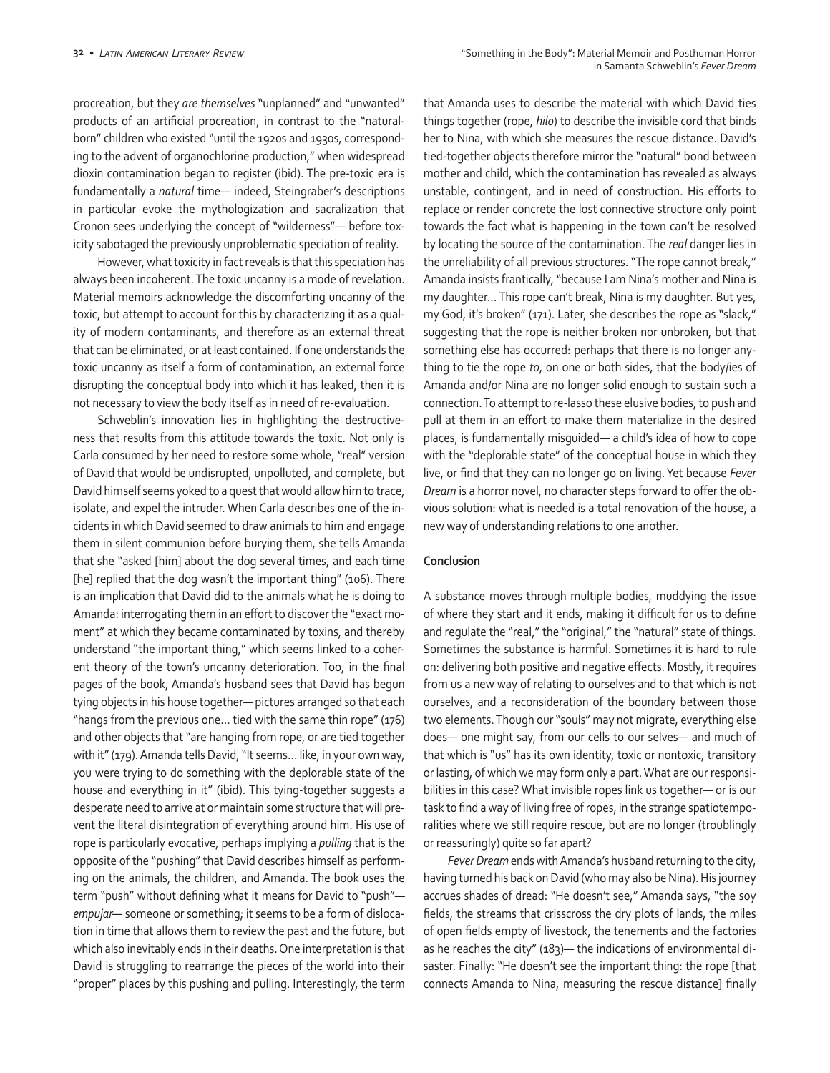procreation, but they *are themselves* "unplanned" and "unwanted" products of an artificial procreation, in contrast to the "naturalborn" children who existed "until the 1920s and 1930s, corresponding to the advent of organochlorine production," when widespread dioxin contamination began to register (ibid). The pre-toxic era is fundamentally a *natural* time— indeed, Steingraber's descriptions in particular evoke the mythologization and sacralization that Cronon sees underlying the concept of "wilderness"— before toxicity sabotaged the previously unproblematic speciation of reality.

However, what toxicity in fact reveals is that this speciation has always been incoherent. The toxic uncanny is a mode of revelation. Material memoirs acknowledge the discomforting uncanny of the toxic, but attempt to account for this by characterizing it as a quality of modern contaminants, and therefore as an external threat that can be eliminated, or at least contained. If one understands the toxic uncanny as itself a form of contamination, an external force disrupting the conceptual body into which it has leaked, then it is not necessary to view the body itself as in need of re-evaluation.

Schweblin's innovation lies in highlighting the destructiveness that results from this attitude towards the toxic. Not only is Carla consumed by her need to restore some whole, "real" version of David that would be undisrupted, unpolluted, and complete, but David himself seems yoked to a quest that would allow him to trace, isolate, and expel the intruder. When Carla describes one of the incidents in which David seemed to draw animals to him and engage them in silent communion before burying them, she tells Amanda that she "asked [him] about the dog several times, and each time [he] replied that the dog wasn't the important thing" (106). There is an implication that David did to the animals what he is doing to Amanda: interrogating them in an effort to discover the "exact moment" at which they became contaminated by toxins, and thereby understand "the important thing," which seems linked to a coherent theory of the town's uncanny deterioration. Too, in the final pages of the book, Amanda's husband sees that David has begun tying objects in his house together— pictures arranged so that each "hangs from the previous one… tied with the same thin rope" (176) and other objects that "are hanging from rope, or are tied together with it" (179). Amanda tells David, "It seems… like, in your own way, you were trying to do something with the deplorable state of the house and everything in it" (ibid). This tying-together suggests a desperate need to arrive at or maintain some structure that will prevent the literal disintegration of everything around him. His use of rope is particularly evocative, perhaps implying a *pulling* that is the opposite of the "pushing" that David describes himself as performing on the animals, the children, and Amanda. The book uses the term "push" without defining what it means for David to "push" *empujar—* someone or something; it seems to be a form of dislocation in time that allows them to review the past and the future, but which also inevitably ends in their deaths. One interpretation is that David is struggling to rearrange the pieces of the world into their "proper" places by this pushing and pulling. Interestingly, the term that Amanda uses to describe the material with which David ties things together (rope, *hilo*) to describe the invisible cord that binds her to Nina, with which she measures the rescue distance. David's tied-together objects therefore mirror the "natural" bond between mother and child, which the contamination has revealed as always unstable, contingent, and in need of construction. His efforts to replace or render concrete the lost connective structure only point towards the fact what is happening in the town can't be resolved by locating the source of the contamination. The *real* danger lies in the unreliability of all previous structures. "The rope cannot break," Amanda insists frantically, "because I am Nina's mother and Nina is my daughter… This rope can't break, Nina is my daughter. But yes, my God, it's broken" (171). Later, she describes the rope as "slack," suggesting that the rope is neither broken nor unbroken, but that something else has occurred: perhaps that there is no longer anything to tie the rope *to*, on one or both sides, that the body/ies of Amanda and/or Nina are no longer solid enough to sustain such a connection. To attempt to re-lasso these elusive bodies, to push and pull at them in an effort to make them materialize in the desired places, is fundamentally misguided— a child's idea of how to cope with the "deplorable state" of the conceptual house in which they live, or find that they can no longer go on living. Yet because *Fever Dream* is a horror novel, no character steps forward to offer the obvious solution: what is needed is a total renovation of the house, a new way of understanding relations to one another.

#### **Conclusion**

A substance moves through multiple bodies, muddying the issue of where they start and it ends, making it difficult for us to define and regulate the "real," the "original," the "natural" state of things. Sometimes the substance is harmful. Sometimes it is hard to rule on: delivering both positive and negative effects. Mostly, it requires from us a new way of relating to ourselves and to that which is not ourselves, and a reconsideration of the boundary between those two elements. Though our "souls" may not migrate, everything else does— one might say, from our cells to our selves— and much of that which is "us" has its own identity, toxic or nontoxic, transitory or lasting, of which we may form only a part. What are our responsibilities in this case? What invisible ropes link us together— or is our task to find a way of living free of ropes, in the strange spatiotemporalities where we still require rescue, but are no longer (troublingly or reassuringly) quite so far apart?

*Fever Dream* ends with Amanda's husband returning to the city, having turned his back on David (who may also be Nina). His journey accrues shades of dread: "He doesn't see," Amanda says, "the soy fields, the streams that crisscross the dry plots of lands, the miles of open fields empty of livestock, the tenements and the factories as he reaches the city" (183)— the indications of environmental disaster. Finally: "He doesn't see the important thing: the rope [that connects Amanda to Nina, measuring the rescue distance] finally